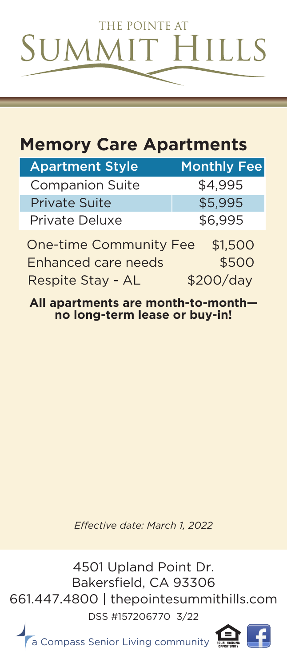

## **Memory Care Apartments**

| <b>Apartment Style</b> | <b>Monthly Fee</b> |
|------------------------|--------------------|
| <b>Companion Suite</b> | \$4,995            |
| <b>Private Suite</b>   | \$5,995            |
| <b>Private Deluxe</b>  | \$6,995            |
|                        |                    |

\$500 One-time Community Fee \$1,500 Enhanced care needs Respite Stay - AL \$200/day

**All apartments are month-to-month no long-term lease or buy-in!**

**Effective date: March 1, 2022** 

4501 Upland Point Dr. Bakersfield, CA 93306 661.447.4800 | thepointesummithills.com DSS #157206770 3/22

a Compass Senior Living community